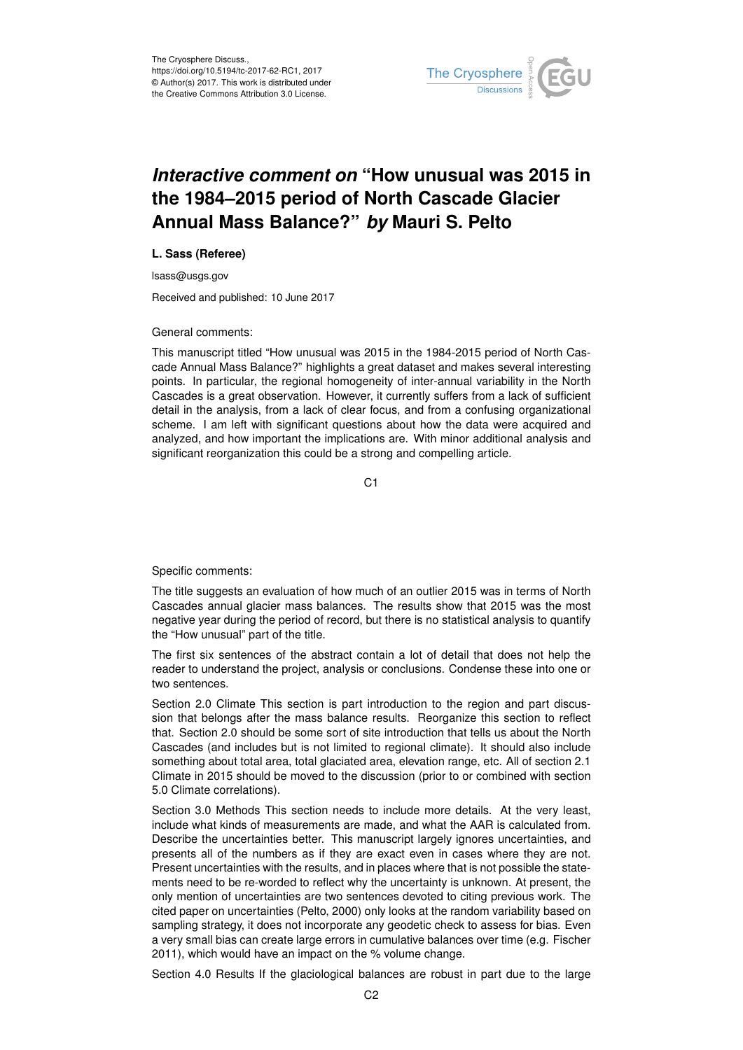

## *Interactive comment on* **"How unusual was 2015 in the 1984–2015 period of North Cascade Glacier Annual Mass Balance?"** *by* **Mauri S. Pelto**

## **L. Sass (Referee)**

lsass@usgs.gov

Received and published: 10 June 2017

## General comments:

This manuscript titled "How unusual was 2015 in the 1984-2015 period of North Cascade Annual Mass Balance?" highlights a great dataset and makes several interesting points. In particular, the regional homogeneity of inter-annual variability in the North Cascades is a great observation. However, it currently suffers from a lack of sufficient detail in the analysis, from a lack of clear focus, and from a confusing organizational scheme. I am left with significant questions about how the data were acquired and analyzed, and how important the implications are. With minor additional analysis and significant reorganization this could be a strong and compelling article.

C<sub>1</sub>

Specific comments:

The title suggests an evaluation of how much of an outlier 2015 was in terms of North Cascades annual glacier mass balances. The results show that 2015 was the most negative year during the period of record, but there is no statistical analysis to quantify the "How unusual" part of the title.

The first six sentences of the abstract contain a lot of detail that does not help the reader to understand the project, analysis or conclusions. Condense these into one or two sentences.

Section 2.0 Climate This section is part introduction to the region and part discussion that belongs after the mass balance results. Reorganize this section to reflect that. Section 2.0 should be some sort of site introduction that tells us about the North Cascades (and includes but is not limited to regional climate). It should also include something about total area, total glaciated area, elevation range, etc. All of section 2.1 Climate in 2015 should be moved to the discussion (prior to or combined with section 5.0 Climate correlations).

Section 3.0 Methods This section needs to include more details. At the very least, include what kinds of measurements are made, and what the AAR is calculated from. Describe the uncertainties better. This manuscript largely ignores uncertainties, and presents all of the numbers as if they are exact even in cases where they are not. Present uncertainties with the results, and in places where that is not possible the statements need to be re-worded to reflect why the uncertainty is unknown. At present, the only mention of uncertainties are two sentences devoted to citing previous work. The cited paper on uncertainties (Pelto, 2000) only looks at the random variability based on sampling strategy, it does not incorporate any geodetic check to assess for bias. Even a very small bias can create large errors in cumulative balances over time (e.g. Fischer 2011), which would have an impact on the % volume change.

Section 4.0 Results If the glaciological balances are robust in part due to the large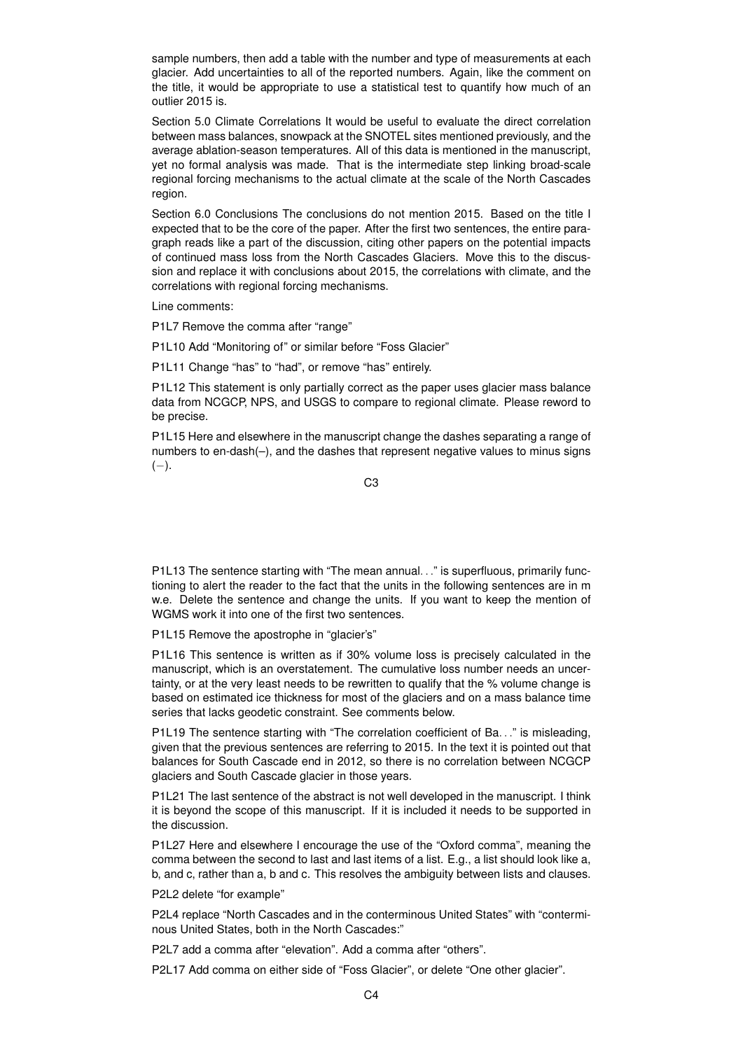sample numbers, then add a table with the number and type of measurements at each glacier. Add uncertainties to all of the reported numbers. Again, like the comment on the title, it would be appropriate to use a statistical test to quantify how much of an outlier 2015 is.

Section 5.0 Climate Correlations It would be useful to evaluate the direct correlation between mass balances, snowpack at the SNOTEL sites mentioned previously, and the average ablation-season temperatures. All of this data is mentioned in the manuscript, yet no formal analysis was made. That is the intermediate step linking broad-scale regional forcing mechanisms to the actual climate at the scale of the North Cascades region.

Section 6.0 Conclusions The conclusions do not mention 2015. Based on the title I expected that to be the core of the paper. After the first two sentences, the entire paragraph reads like a part of the discussion, citing other papers on the potential impacts of continued mass loss from the North Cascades Glaciers. Move this to the discussion and replace it with conclusions about 2015, the correlations with climate, and the correlations with regional forcing mechanisms.

Line comments:

P1L7 Remove the comma after "range"

P1L10 Add "Monitoring of" or similar before "Foss Glacier"

P1L11 Change "has" to "had", or remove "has" entirely.

P1L12 This statement is only partially correct as the paper uses glacier mass balance data from NCGCP, NPS, and USGS to compare to regional climate. Please reword to be precise.

P1L15 Here and elsewhere in the manuscript change the dashes separating a range of numbers to en-dash(–), and the dashes that represent negative values to minus signs  $(-)$ .

C3

P1L13 The sentence starting with "The mean annual. . ." is superfluous, primarily functioning to alert the reader to the fact that the units in the following sentences are in m w.e. Delete the sentence and change the units. If you want to keep the mention of WGMS work it into one of the first two sentences.

P1L15 Remove the apostrophe in "glacier's"

P1L16 This sentence is written as if 30% volume loss is precisely calculated in the manuscript, which is an overstatement. The cumulative loss number needs an uncertainty, or at the very least needs to be rewritten to qualify that the % volume change is based on estimated ice thickness for most of the glaciers and on a mass balance time series that lacks geodetic constraint. See comments below.

P1L19 The sentence starting with "The correlation coefficient of Ba..." is misleading, given that the previous sentences are referring to 2015. In the text it is pointed out that balances for South Cascade end in 2012, so there is no correlation between NCGCP glaciers and South Cascade glacier in those years.

P1L21 The last sentence of the abstract is not well developed in the manuscript. I think it is beyond the scope of this manuscript. If it is included it needs to be supported in the discussion.

P1L27 Here and elsewhere I encourage the use of the "Oxford comma", meaning the comma between the second to last and last items of a list. E.g., a list should look like a, b, and c, rather than a, b and c. This resolves the ambiguity between lists and clauses.

P2L2 delete "for example"

P2L4 replace "North Cascades and in the conterminous United States" with "conterminous United States, both in the North Cascades:"

P2L7 add a comma after "elevation". Add a comma after "others".

P2L17 Add comma on either side of "Foss Glacier", or delete "One other glacier".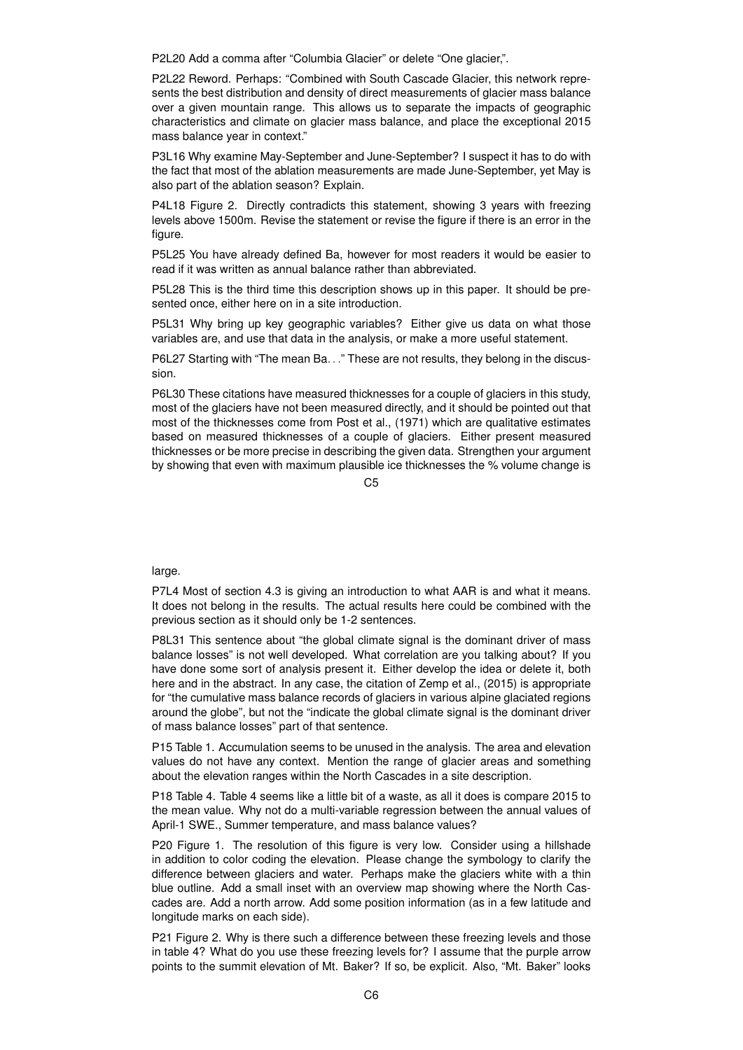P2L20 Add a comma after "Columbia Glacier" or delete "One glacier,".

P2L22 Reword. Perhaps: "Combined with South Cascade Glacier, this network represents the best distribution and density of direct measurements of glacier mass balance over a given mountain range. This allows us to separate the impacts of geographic characteristics and climate on glacier mass balance, and place the exceptional 2015 mass balance year in context."

P3L16 Why examine May-September and June-September? I suspect it has to do with the fact that most of the ablation measurements are made June-September, yet May is also part of the ablation season? Explain.

P4L18 Figure 2. Directly contradicts this statement, showing 3 years with freezing levels above 1500m. Revise the statement or revise the figure if there is an error in the figure.

P5L25 You have already defined Ba, however for most readers it would be easier to read if it was written as annual balance rather than abbreviated.

P5L28 This is the third time this description shows up in this paper. It should be presented once, either here on in a site introduction.

P5L31 Why bring up key geographic variables? Either give us data on what those variables are, and use that data in the analysis, or make a more useful statement.

P6L27 Starting with "The mean Ba..." These are not results, they belong in the discussion.

P6L30 These citations have measured thicknesses for a couple of glaciers in this study, most of the glaciers have not been measured directly, and it should be pointed out that most of the thicknesses come from Post et al., (1971) which are qualitative estimates based on measured thicknesses of a couple of glaciers. Either present measured thicknesses or be more precise in describing the given data. Strengthen your argument by showing that even with maximum plausible ice thicknesses the % volume change is

 $C<sub>5</sub>$ 

large.

P7L4 Most of section 4.3 is giving an introduction to what AAR is and what it means. It does not belong in the results. The actual results here could be combined with the previous section as it should only be 1-2 sentences.

P8L31 This sentence about "the global climate signal is the dominant driver of mass balance losses" is not well developed. What correlation are you talking about? If you have done some sort of analysis present it. Either develop the idea or delete it, both here and in the abstract. In any case, the citation of Zemp et al., (2015) is appropriate for "the cumulative mass balance records of glaciers in various alpine glaciated regions around the globe", but not the "indicate the global climate signal is the dominant driver of mass balance losses" part of that sentence.

P15 Table 1. Accumulation seems to be unused in the analysis. The area and elevation values do not have any context. Mention the range of glacier areas and something about the elevation ranges within the North Cascades in a site description.

P18 Table 4. Table 4 seems like a little bit of a waste, as all it does is compare 2015 to the mean value. Why not do a multi-variable regression between the annual values of April-1 SWE., Summer temperature, and mass balance values?

P20 Figure 1. The resolution of this figure is very low. Consider using a hillshade in addition to color coding the elevation. Please change the symbology to clarify the difference between glaciers and water. Perhaps make the glaciers white with a thin blue outline. Add a small inset with an overview map showing where the North Cascades are. Add a north arrow. Add some position information (as in a few latitude and longitude marks on each side).

P21 Figure 2. Why is there such a difference between these freezing levels and those in table 4? What do you use these freezing levels for? I assume that the purple arrow points to the summit elevation of Mt. Baker? If so, be explicit. Also, "Mt. Baker" looks